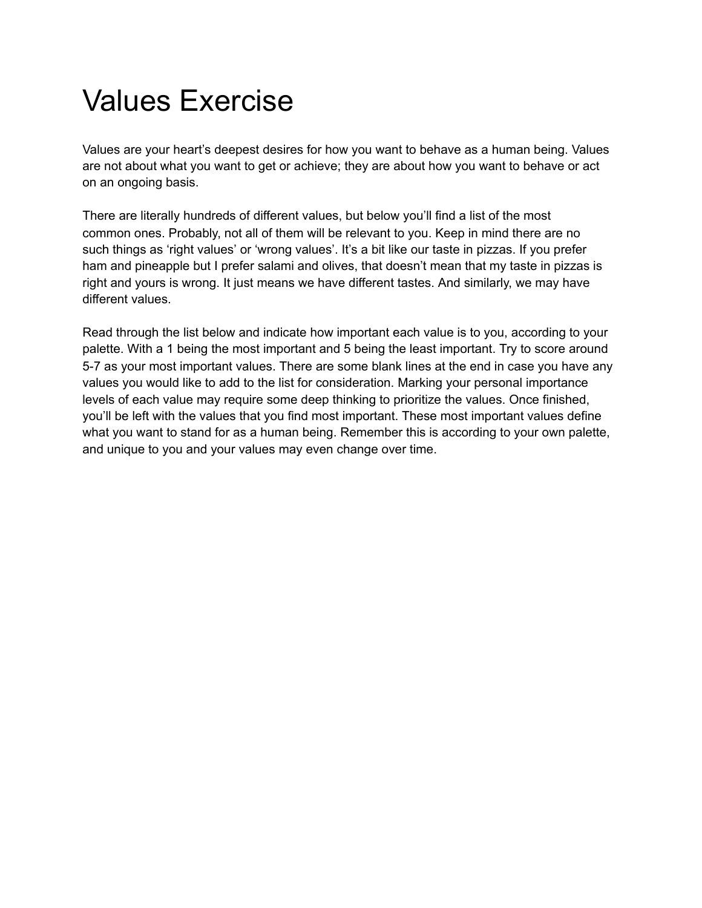## Values Exercise

Values are your heart's deepest desires for how you want to behave as a human being. Values are not about what you want to get or achieve; they are about how you want to behave or act on an ongoing basis.

There are literally hundreds of different values, but below you'll find a list of the most common ones. Probably, not all of them will be relevant to you. Keep in mind there are no such things as 'right values' or 'wrong values'. It's a bit like our taste in pizzas. If you prefer ham and pineapple but I prefer salami and olives, that doesn't mean that my taste in pizzas is right and yours is wrong. It just means we have different tastes. And similarly, we may have different values.

Read through the list below and indicate how important each value is to you, according to your palette. With a 1 being the most important and 5 being the least important. Try to score around 5-7 as your most important values. There are some blank lines at the end in case you have any values you would like to add to the list for consideration. Marking your personal importance levels of each value may require some deep thinking to prioritize the values. Once finished, you'll be left with the values that you find most important. These most important values define what you want to stand for as a human being. Remember this is according to your own palette, and unique to you and your values may even change over time.